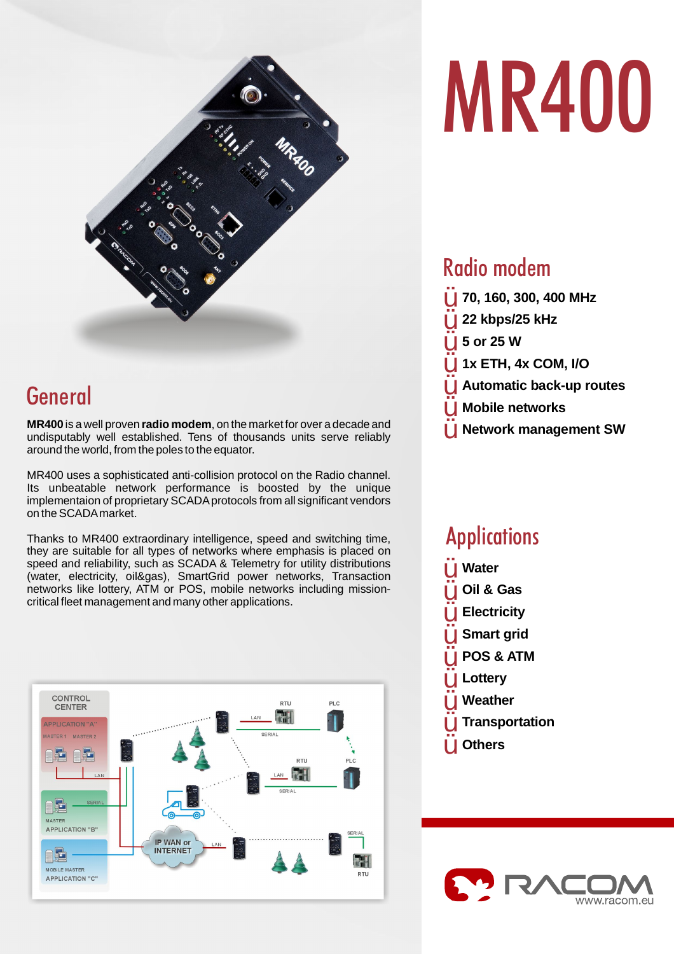

## General

**MR400** is a well proven **radio modem**, on the market for over a decade and undisputably well established. Tens of thousands units serve reliably around the world, from the poles to the equator.

MR400 uses a sophisticated anti-collision protocol on the Radio channel. Its unbeatable network performance is boosted by the unique implementaion of proprietary SCADA protocols from all significant vendors on theSCADAmarket.

Thanks to MR400 extraordinary intelligence, speed and switching time, they are suitable for all types of networks where emphasis is placed on speed and reliability, such as SCADA & Telemetry for utility distributions (water, electricity, oil&gas), SmartGrid power networks, Transaction networks like lottery, ATM or POS, mobile networks including missioncritical fleet management and many other applications.



# **MR400**

## Radio modem

Ÿ Ÿ Ÿ Ÿ Ÿ Ÿ Ÿ **70, 160, 300, 400 MHz 22 kbps/25 kHz 5 or 25 W 1x ETH, 4x COM, I/O Automatic back-up routes Mobile networks Network management SW**

## **Applications**

**Water Oil & Gas Electricity Smart grid POS & ATM Lottery Weather Transportation Others** Ÿ Ÿ Ÿ Ÿ Ÿ Ÿ Ÿ Ÿ Ÿ

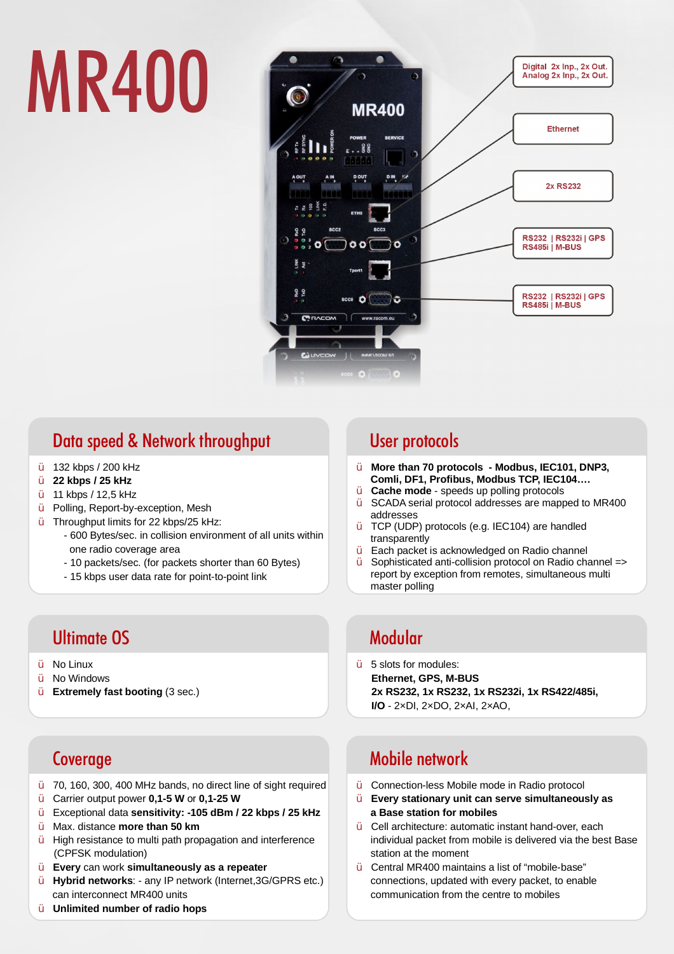## **MR400**



## Data speed & Network throughput

- Ÿ 132 kbps / 200 kHz
- Ÿ **22 kbps / 25 kHz**
- Ÿ 11 kbps / 12,5 kHz
- Ÿ Polling, Report-by-exception, Mesh
- Ÿ Throughput limits for 22 kbps/25 kHz:
	- 600 Bytes/sec. in collision environment of all units within one radio coverage area
	- 10 packets/sec. (for packets shorter than 60 Bytes)
	- 15 kbps user data rate for point-to-point link

## **Ultimate OS And American State of American State Modular**

- Ÿ No Linux
- Ÿ Ÿ No Windows
	- **Extremely fast booting** (3 sec.)

## **Coverage**

- Ÿ 70, 160, 300, 400 MHz bands, no direct line of sight required
- Ÿ **Carrier output power 0,1-5 W or 0,1-25 W**
- Ÿ Exceptional data **sensitivity: -105 dBm / 22 kbps / 25 kHz**
- Ÿ Max. distance **more than 50 km**
- Ÿ High resistance to multi path propagation and interference (CPFSK modulation)
- Ÿ can work **Every simultaneously as a repeater**
- Ÿ Hybrid networks: - any IP network (Internet, 3G/GPRS etc.) can interconnect MR400 units
- Ÿ **Unlimited number of radio hops**

## **User protocols**

- Ÿ **More than 70 protocols - Modbus, IEC101, DNP3, Comli, DF1, Profibus, Modbus TCP, IEC104….**
- Ÿ **Cache mode** - speeds up polling protocols
- Ÿ SCADA serial protocol addresses are mapped to MR400 addresses
- Ÿ TCP (UDP) protocols (e.g. IEC104) are handled transparently
- Y Each packet is acknowledged on Radio channel
- Ÿ Sophisticated anti-collision protocol on Radio channel => report by exception from remotes, simultaneous multi master polling

 $\ddot{\mathsf{Y}}$  5 slots for modules: - 2×DI, 2×DO, 2×AI, 2×AO, **I/O Ethernet, GPS, M-BUS 2x RS232, 1x RS232, 1x RS232i, 1x RS422/485i,** 

## Mobile network

- Ÿ Connection-less Mobile mode in Radio protocol
- Ÿ **Every stationary unit can serve simultaneously as a Base station for mobiles**
- Ÿ Cell architecture: automatic instant hand-over, each individual packet from mobile is delivered via the best Base station at the moment
- Ÿ Central MR400 maintains a list of "mobile-base" connections, updated with every packet, to enable communication from the centre to mobiles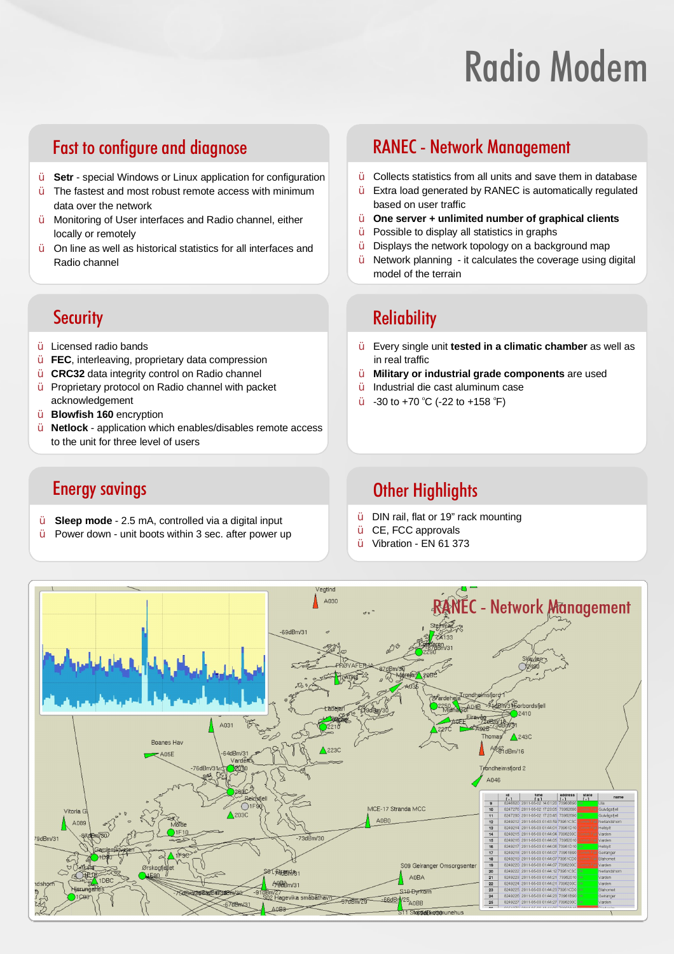## **Radio Modem**

## Fast to configure and diagnose **Exercise RANEC** - Network Management

- Ÿ **Setr** - special Windows or Linux application for configuration
- Ÿ The fastest and most robust remote access with minimum data over the network
- Ÿ Monitoring of User interfaces and Radio channel, either locally or remotely
- Ÿ On line as well as historical statistics for all interfaces and Radio channel

- Ÿ Licensed radio bands
- Ÿ FEC, interleaving, proprietary data compression
- Ÿ **CRC32** data integrity control on Radio channel
- Ÿ Proprietary protocol on Radio channel with packet acknowledgement
- Ÿ **Blowfish 160** encryption
- Ÿ Netlock - application which enables/disables remote access to the unit for three level of users

- Ÿ **Sleep mode** - 2.5 mA, controlled via a digital input
- Ÿ Power down - unit boots within 3 sec. after power up

- $\dot{Y}$  Collects statistics from all units and save them in database
- Ÿ Extra load generated by RANEC is automatically regulated based on user traffic
- Ÿ **One server + unlimited number of graphical clients**
- $\hat{Y}$  Possible to display all statistics in graphs
- Ÿ Displays the network topology on a background map
- Ÿ Network planning - it calculates the coverage using digital model of the terrain

## **Security Contract Contract Contract Contract Contract Contract Contract Contract Contract Contract Contract Contract Contract Contract Contract Contract Contract Contract Contract Contract Contract Contract Contract Contr**

- $\hat{Y}$  Every single unit **tested in a climatic chamber** as well as in real traffic
- Ÿ **Military or industrial grade components** are used
- Ÿ Industrial die cast aluminum case
- Ÿ -30 to +70 °C (-22 to +158 °F)

## **Energy savings Community Community Community Community Community Community Community Community Community Community Community Community Community Community Community Community Community Community Community Community Commun**

- Ÿ DIN rail, flat or 19" rack mounting
- Ÿ CE, FCC approvals
- Ÿ Vibration - EN 61 373